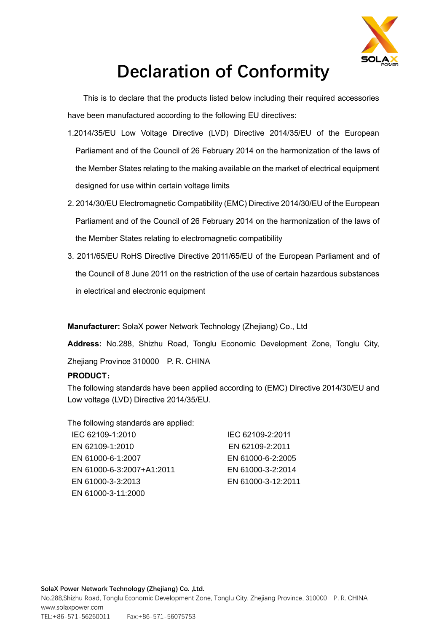

## **Declaration of Conformity**

This is to declare that the products listed below including their required accessories have been manufactured according to the following EU directives:

- 1.2014/35/EU Low Voltage Directive (LVD) Directive 2014/35/EU of the European Parliament and of the Council of 26 February 2014 on the harmonization of the laws of the Member States relating to the making available on the market of electrical equipment designed for use within certain voltage limits
- 2. 2014/30/EU Electromagnetic Compatibility (EMC) Directive 2014/30/EU of the European Parliament and of the Council of 26 February 2014 on the harmonization of the laws of the Member States relating to electromagnetic compatibility
- 3. 2011/65/EU RoHS Directive Directive 2011/65/EU of the European Parliament and of the Council of 8 June 2011 on the restriction of the use of certain hazardous substances in electrical and electronic equipment

**Manufacturer:** SolaX power Network Technology (Zhejiang) Co., Ltd

**Address:** No.288, Shizhu Road, Tonglu Economic Development Zone, Tonglu City, Zhejiang Province 310000 P. R. CHINA

## **PRODUCT:**

The following standards have been applied according to (EMC) Directive 2014/30/EU and Low voltage (LVD) Directive 2014/35/EU.

The following standards are applied: IEC 62109-2:2011 EN 62109-2:2011 EN 61000-6-2:2005 EN 61000-3-2:2014 EN 61000-3-12:2011 IEC 62109-1:2010 EN 62109-1:2010 EN 61000-6-1:2007 EN 61000-6-3:2007+A1:2011 EN 61000-3-3:2013 EN 61000-3-11:2000

**SolaX Power Network Technology (Zhejiang) Co. ,Ltd.**

No.288,Shizhu Road, Tonglu Economic Development Zone, Tonglu City, Zhejiang Province, 310000 P. R. CHINA www.solaxpower.com TEL:+86-571-56260011 Fax:+86-571-56075753